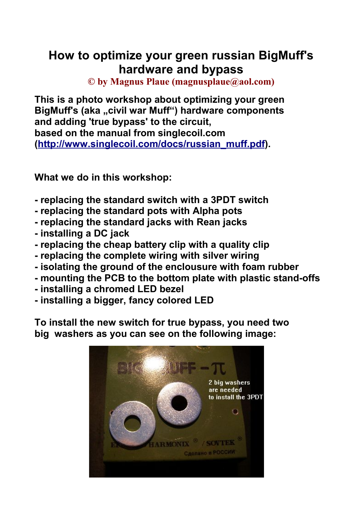# **How to optimize your green russian BigMuff's hardware and bypass**

**© by Magnus Plaue (magnusplaue@aol.com)**

**This is a photo workshop about optimizing your green** BigMuff's (aka ..civil war Muff") hardware components **and adding 'true bypass' to the circuit, based on the manual from singlecoil.com (http://www.singlecoil.com/docs/russian\_muff.pdf).**

**What we do in this workshop:**

- **replacing the standard switch with a 3PDT switch**
- **replacing the standard pots with Alpha pots**
- **replacing the standard jacks with Rean jacks**
- **installing a DC jack**
- **replacing the cheap battery clip with a quality clip**
- **replacing the complete wiring with silver wiring**
- **isolating the ground of the enclousure with foam rubber**
- **mounting the PCB to the bottom plate with plastic stand-offs**
- **installing a chromed LED bezel**
- **installing a bigger, fancy colored LED**

**To install the new switch for true bypass, you need two big washers as you can see on the following image:**

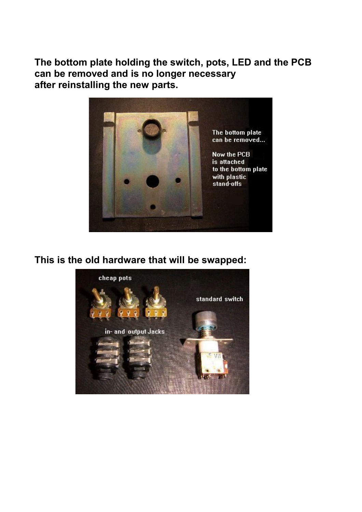**The bottom plate holding the switch, pots, LED and the PCB can be removed and is no longer necessary after reinstalling the new parts.**



**This is the old hardware that will be swapped:**

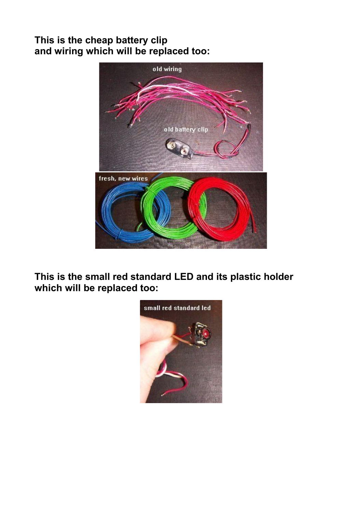#### **This is the cheap battery clip and wiring which will be replaced too:**



**This is the small red standard LED and its plastic holder which will be replaced too:**

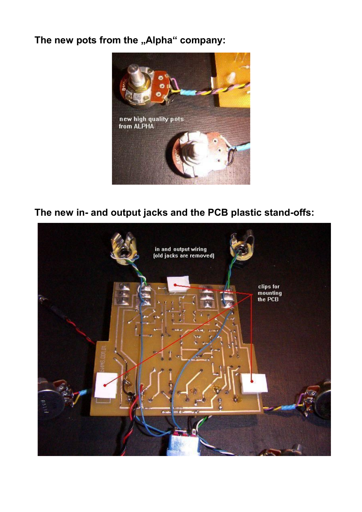## The new pots from the "Alpha" company:



## **The new in- and output jacks and the PCB plastic stand-offs:**

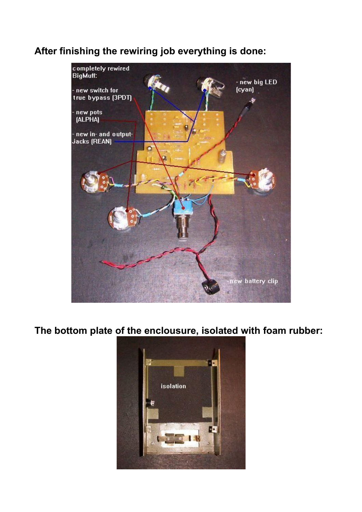#### **After finishing the rewiring job everything is done:**



**The bottom plate of the enclousure, isolated with foam rubber:**

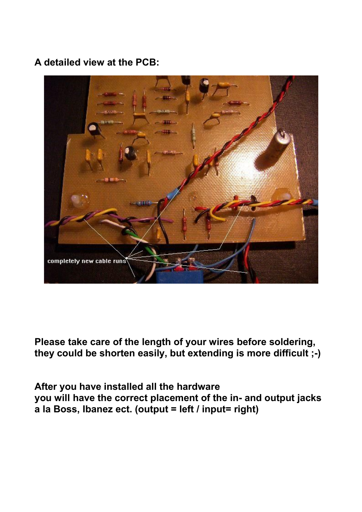## **A detailed view at the PCB:**



**Please take care of the length of your wires before soldering, they could be shorten easily, but extending is more difficult ;-)**

**After you have installed all the hardware you will have the correct placement of the in- and output jacks a la Boss, Ibanez ect. (output = left / input= right)**